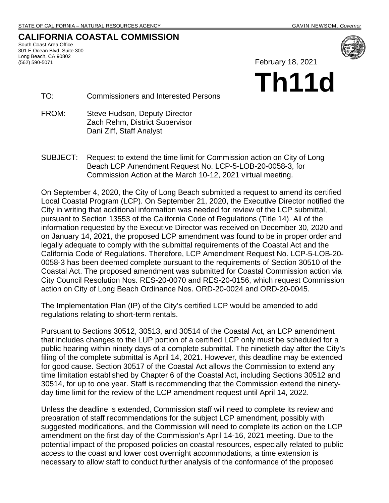### **CALIFORNIA COASTAL COMMISSION**

South Coast Area Office 301 E Ocean Blvd, Suite 300 Long Beach, CA 90802 (562) 590-5071

February 18, 2021

# **Th11d**

TO: Commissioners and Interested Persons

- FROM: Steve Hudson, Deputy Director Zach Rehm, District Supervisor Dani Ziff, Staff Analyst
- SUBJECT: Request to extend the time limit for Commission action on City of Long Beach LCP Amendment Request No. LCP-5-LOB-20-0058-3, for Commission Action at the March 10-12, 2021 virtual meeting.

On September 4, 2020, the City of Long Beach submitted a request to amend its certified Local Coastal Program (LCP). On September 21, 2020, the Executive Director notified the City in writing that additional information was needed for review of the LCP submittal, pursuant to Section 13553 of the California Code of Regulations (Title 14). All of the information requested by the Executive Director was received on December 30, 2020 and on January 14, 2021, the proposed LCP amendment was found to be in proper order and legally adequate to comply with the submittal requirements of the Coastal Act and the California Code of Regulations. Therefore, LCP Amendment Request No. LCP-5-LOB-20- 0058-3 has been deemed complete pursuant to the requirements of Section 30510 of the Coastal Act. The proposed amendment was submitted for Coastal Commission action via City Council Resolution Nos. RES-20-0070 and RES-20-0156, which request Commission action on City of Long Beach Ordinance Nos. ORD-20-0024 and ORD-20-0045.

The Implementation Plan (IP) of the City's certified LCP would be amended to add regulations relating to short-term rentals.

Pursuant to Sections 30512, 30513, and 30514 of the Coastal Act, an LCP amendment that includes changes to the LUP portion of a certified LCP only must be scheduled for a public hearing within ninety days of a complete submittal. The ninetieth day after the City's filing of the complete submittal is April 14, 2021. However, this deadline may be extended for good cause. Section 30517 of the Coastal Act allows the Commission to extend any time limitation established by Chapter 6 of the Coastal Act, including Sections 30512 and 30514, for up to one year. Staff is recommending that the Commission extend the ninetyday time limit for the review of the LCP amendment request until April 14, 2022.

Unless the deadline is extended, Commission staff will need to complete its review and preparation of staff recommendations for the subject LCP amendment, possibly with suggested modifications, and the Commission will need to complete its action on the LCP amendment on the first day of the Commission's April 14-16, 2021 meeting. Due to the potential impact of the proposed policies on coastal resources, especially related to public access to the coast and lower cost overnight accommodations, a time extension is necessary to allow staff to conduct further analysis of the conformance of the proposed